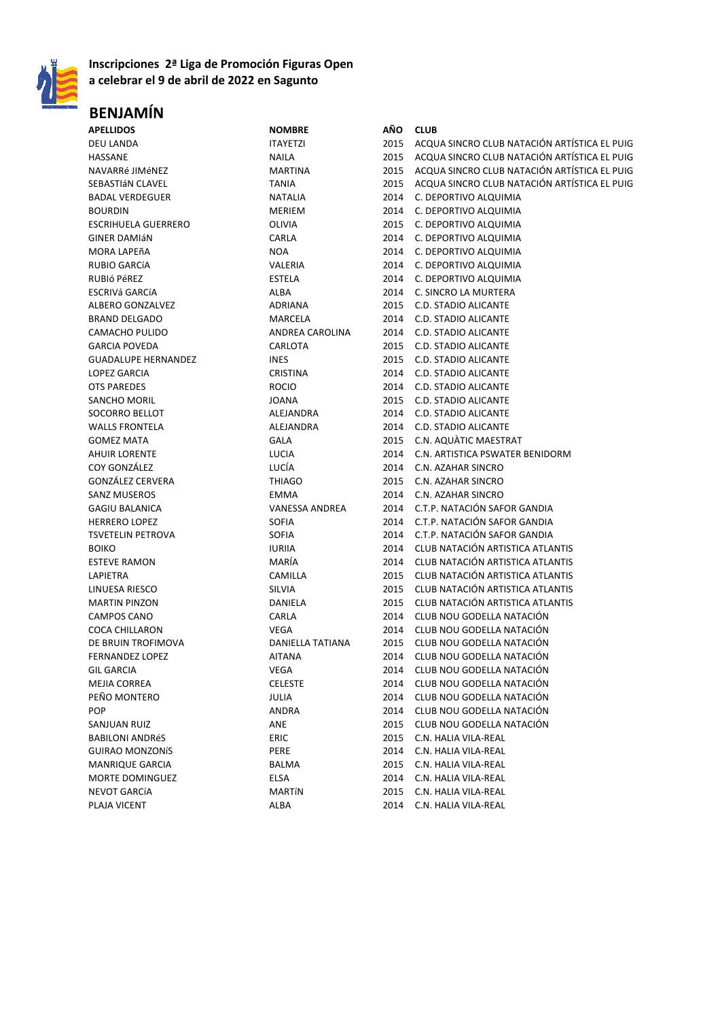

## **Inscripciones 2ª Liga de Promoción Figuras Open a celebrar el 9 de abril de 2022 en Sagunto**

## **BENJAMÍN**

| <b>APELLIDOS</b>           | <b>NOMBRE</b>         | AÑO  | <b>CLUB</b>                                  |
|----------------------------|-----------------------|------|----------------------------------------------|
| <b>DEU LANDA</b>           | <b>ITAYETZI</b>       | 2015 | ACQUA SINCRO CLUB NATACIÓN ARTÍSTICA EL PUIG |
| HASSANE                    | <b>NAILA</b>          | 2015 | ACQUA SINCRO CLUB NATACIÓN ARTÍSTICA EL PUIG |
| NAVARRé JIMéNEZ            | <b>MARTINA</b>        | 2015 | ACQUA SINCRO CLUB NATACIÓN ARTÍSTICA EL PUIG |
| SEBASTIÁN CLAVEL           | <b>TANIA</b>          | 2015 | ACQUA SINCRO CLUB NATACIÓN ARTÍSTICA EL PUIG |
| <b>BADAL VERDEGUER</b>     | <b>NATALIA</b>        | 2014 | C. DEPORTIVO ALQUIMIA                        |
| <b>BOURDIN</b>             | <b>MERIEM</b>         | 2014 | C. DEPORTIVO ALQUIMIA                        |
| <b>ESCRIHUELA GUERRERO</b> | OLIVIA                | 2015 | C. DEPORTIVO ALQUIMIA                        |
| <b>GINER DAMIÁN</b>        | CARLA                 | 2014 | C. DEPORTIVO ALQUIMIA                        |
| MORA LAPEñA                | <b>NOA</b>            | 2014 | C. DEPORTIVO ALQUIMIA                        |
| <b>RUBIO GARCÍA</b>        | <b>VALERIA</b>        | 2014 | C. DEPORTIVO ALQUIMIA                        |
| RUBIÓ PÉREZ                | <b>ESTELA</b>         | 2014 | C. DEPORTIVO ALQUIMIA                        |
| ESCRIVá GARCÍA             | ALBA                  | 2014 | C. SINCRO LA MURTERA                         |
| ALBERO GONZALVEZ           | ADRIANA               | 2015 | C.D. STADIO ALICANTE                         |
| <b>BRAND DELGADO</b>       | MARCELA               | 2014 | C.D. STADIO ALICANTE                         |
|                            |                       |      |                                              |
| CAMACHO PULIDO             | ANDREA CAROLINA       | 2014 | C.D. STADIO ALICANTE                         |
| <b>GARCIA POVEDA</b>       | CARLOTA               | 2015 | C.D. STADIO ALICANTE                         |
| <b>GUADALUPE HERNANDEZ</b> | <b>INES</b>           | 2015 | C.D. STADIO ALICANTE                         |
| LOPEZ GARCIA               | CRISTINA              | 2014 | C.D. STADIO ALICANTE                         |
| <b>OTS PAREDES</b>         | <b>ROCIO</b>          | 2014 | C.D. STADIO ALICANTE                         |
| SANCHO MORIL               | <b>JOANA</b>          | 2015 | C.D. STADIO ALICANTE                         |
| <b>SOCORRO BELLOT</b>      | <b>ALEJANDRA</b>      | 2014 | C.D. STADIO ALICANTE                         |
| <b>WALLS FRONTELA</b>      | ALEJANDRA             | 2014 | <b>C.D. STADIO ALICANTE</b>                  |
| <b>GOMEZ MATA</b>          | GALA                  | 2015 | C.N. AQUATIC MAESTRAT                        |
| <b>AHUIR LORENTE</b>       | LUCIA                 | 2014 | C.N. ARTISTICA PSWATER BENIDORM              |
| COY GONZÁLEZ               | LUCÍA                 | 2014 | C.N. AZAHAR SINCRO                           |
| GONZÁLEZ CERVERA           | <b>THIAGO</b>         | 2015 | C.N. AZAHAR SINCRO                           |
| <b>SANZ MUSEROS</b>        | EMMA                  | 2014 | C.N. AZAHAR SINCRO                           |
| <b>GAGIU BALANICA</b>      | <b>VANESSA ANDREA</b> | 2014 | C.T.P. NATACIÓN SAFOR GANDIA                 |
| <b>HERRERO LOPEZ</b>       | <b>SOFIA</b>          | 2014 | C.T.P. NATACIÓN SAFOR GANDIA                 |
| <b>TSVETELIN PETROVA</b>   | <b>SOFIA</b>          | 2014 | C.T.P. NATACIÓN SAFOR GANDIA                 |
| <b>BOIKO</b>               | <b>IURIIA</b>         | 2014 | CLUB NATACIÓN ARTISTICA ATLANTIS             |
| <b>ESTEVE RAMON</b>        | MARÍA                 | 2014 | CLUB NATACIÓN ARTISTICA ATLANTIS             |
| LAPIETRA                   | CAMILLA               | 2015 | CLUB NATACIÓN ARTISTICA ATLANTIS             |
| LINUESA RIESCO             | SILVIA                | 2015 | CLUB NATACIÓN ARTISTICA ATLANTIS             |
| <b>MARTIN PINZON</b>       | DANIELA               | 2015 | CLUB NATACIÓN ARTISTICA ATLANTIS             |
| <b>CAMPOS CANO</b>         | CARLA                 | 2014 | CLUB NOU GODELLA NATACIÓN                    |
| <b>COCA CHILLARON</b>      | <b>VEGA</b>           | 2014 | CLUB NOU GODELLA NATACIÓN                    |
| DE BRUIN TROFIMOVA         | DANIELLA TATIANA      | 2015 | CLUB NOU GODELLA NATACIÓN                    |
| <b>FERNANDEZ LOPEZ</b>     | <b>AITANA</b>         | 2014 | CLUB NOU GODELLA NATACIÓN                    |
| <b>GIL GARCIA</b>          | VEGA                  | 2014 | CLUB NOU GODELLA NATACIÓN                    |
| MEJIA CORREA               | <b>CELESTE</b>        | 2014 | CLUB NOU GODELLA NATACIÓN                    |
| PEÑO MONTERO               | JULIA                 | 2014 | CLUB NOU GODELLA NATACIÓN                    |
| <b>POP</b>                 | ANDRA                 | 2014 | CLUB NOU GODELLA NATACIÓN                    |
| SANJUAN RUIZ               | ANE                   | 2015 | CLUB NOU GODELLA NATACIÓN                    |
| <b>BABILONI ANDRéS</b>     | ERIC                  | 2015 | C.N. HALIA VILA-REAL                         |
| <b>GUIRAO MONZONÍS</b>     | PERE                  | 2014 | C.N. HALIA VILA-REAL                         |
| <b>MANRIQUE GARCIA</b>     | BALMA                 | 2015 | C.N. HALIA VILA-REAL                         |
| MORTE DOMINGUEZ            | ELSA                  | 2014 | C.N. HALIA VILA-REAL                         |
| NEVOT GARCÍA               | <b>MARTÍN</b>         | 2015 | C.N. HALIA VILA-REAL                         |
| PLAJA VICENT               | ALBA                  | 2014 | C.N. HALIA VILA-REAL                         |
|                            |                       |      |                                              |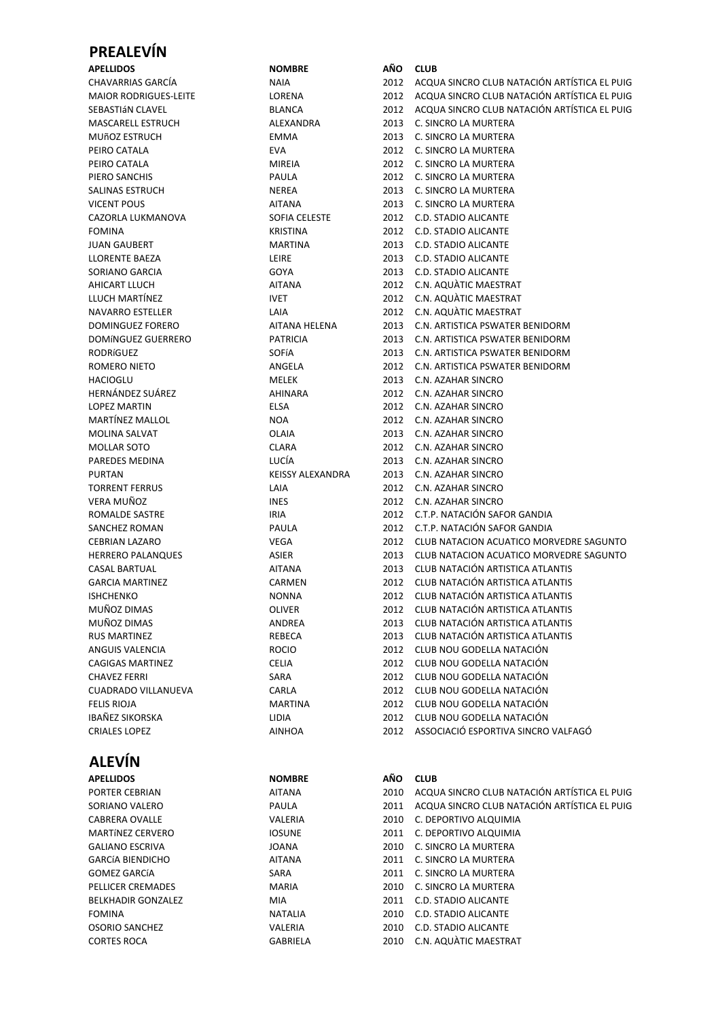## **PREALEVÍN**

## **ALEVÍN**

| <b>APELLIDOS</b>          | <b>NOMBRE</b>   | AÑO  | <b>CLUB</b>                                  |
|---------------------------|-----------------|------|----------------------------------------------|
| PORTER CEBRIAN            | <b>AITANA</b>   | 2010 | ACQUA SINCRO CLUB NATACIÓN ARTÍSTICA EL PUIG |
| SORIANO VALERO            | PAULA           | 2011 | ACQUA SINCRO CLUB NATACIÓN ARTÍSTICA EL PUIG |
| CABRERA OVALLE            | VALERIA         | 2010 | C. DEPORTIVO ALQUIMIA                        |
| <b>MARTÍNEZ CERVERO</b>   | <b>IOSUNE</b>   | 2011 | C. DEPORTIVO ALQUIMIA                        |
| <b>GALIANO ESCRIVA</b>    | <b>JOANA</b>    | 2010 | C. SINCRO LA MURTERA                         |
| <b>GARCÍA BIENDICHO</b>   | <b>AITANA</b>   | 2011 | C. SINCRO LA MURTERA                         |
| <b>GOMEZ GARCÍA</b>       | <b>SARA</b>     | 2011 | C. SINCRO LA MURTERA                         |
| PELLICER CREMADES         | <b>MARIA</b>    | 2010 | C. SINCRO LA MURTERA                         |
| <b>BELKHADIR GONZALEZ</b> | MIA.            | 2011 | C.D. STADIO ALICANTE                         |
| <b>FOMINA</b>             | <b>NATALIA</b>  | 2010 | C.D. STADIO ALICANTE                         |
| <b>OSORIO SANCHEZ</b>     | VALERIA         | 2010 | C.D. STADIO ALICANTE                         |
| <b>CORTES ROCA</b>        | <b>GABRIELA</b> | 2010 | C.N. AQUÀTIC MAESTRAT                        |

| CHAVARRIAS GARCÍA        | <b>NAIA</b>             |      | 2012 ACQUA SINCRO CLUB NATACIÓN ARTÍSTICA EL PUIG |
|--------------------------|-------------------------|------|---------------------------------------------------|
| MAIOR RODRIGUES-LEITE    | LORENA                  |      | 2012 ACQUA SINCRO CLUB NATACIÓN ARTÍSTICA EL PUIG |
| SEBASTIáN CLAVEL         | <b>BLANCA</b>           | 2012 | ACQUA SINCRO CLUB NATACIÓN ARTÍSTICA EL PUIG      |
| <b>MASCARELL ESTRUCH</b> | ALEXANDRA               | 2013 | C. SINCRO LA MURTERA                              |
| MUñOZ ESTRUCH            | EMMA                    | 2013 | C. SINCRO LA MURTERA                              |
| PEIRO CATALA             | <b>EVA</b>              |      | 2012 C. SINCRO LA MURTERA                         |
| PEIRO CATALA             | MIREIA                  |      | 2012 C. SINCRO LA MURTERA                         |
| PIERO SANCHIS            | PAULA                   |      | 2012 C. SINCRO LA MURTERA                         |
| SALINAS ESTRUCH          | <b>NEREA</b>            | 2013 | C. SINCRO LA MURTERA                              |
| VICENT POUS              | AITANA                  | 2013 | C. SINCRO LA MURTERA                              |
| CAZORLA LUKMANOVA        | <b>SOFIA CELESTE</b>    | 2012 | C.D. STADIO ALICANTE                              |
| FOMINA                   | <b>KRISTINA</b>         |      | 2012 C.D. STADIO ALICANTE                         |
| JUAN GAUBERT             | <b>MARTINA</b>          | 2013 | C.D. STADIO ALICANTE                              |
| LLORENTE BAEZA           | LEIRE                   |      | 2013 C.D. STADIO ALICANTE                         |
| SORIANO GARCIA           | GOYA                    |      | 2013 C.D. STADIO ALICANTE                         |
| AHICART LLUCH            | <b>AITANA</b>           |      | 2012 C.N. AQUATIC MAESTRAT                        |
| LLUCH MARTÍNEZ           | <b>IVET</b>             | 2012 | C.N. AQUATIC MAESTRAT                             |
| NAVARRO ESTELLER         | LAIA                    | 2012 | C.N. AQUATIC MAESTRAT                             |
| DOMINGUEZ FORERO         | AITANA HELENA           | 2013 | C.N. ARTISTICA PSWATER BENIDORM                   |
| DOMÍNGUEZ GUERRERO       | <b>PATRICIA</b>         | 2013 | C.N. ARTISTICA PSWATER BENIDORM                   |
| RODRíGUEZ                | SOFÍA                   | 2013 | C.N. ARTISTICA PSWATER BENIDORM                   |
| ROMERO NIETO             | ANGELA                  |      | 2012 C.N. ARTISTICA PSWATER BENIDORM              |
| HACIOGLU                 | MELEK                   | 2013 | C.N. AZAHAR SINCRO                                |
| HERNÁNDEZ SUÁREZ         | AHINARA                 | 2012 | C.N. AZAHAR SINCRO                                |
| <b>LOPEZ MARTIN</b>      | ELSA                    | 2012 | C.N. AZAHAR SINCRO                                |
| MARTÍNEZ MALLOL          | NOA                     | 2012 | C.N. AZAHAR SINCRO                                |
| MOLINA SALVAT            | <b>OLAIA</b>            | 2013 | C.N. AZAHAR SINCRO                                |
| MOLLAR SOTO              | <b>CLARA</b>            |      | 2012 C.N. AZAHAR SINCRO                           |
| PAREDES MEDINA           | LUCÍA                   |      | 2013 C.N. AZAHAR SINCRO                           |
| PURTAN                   | <b>KEISSY ALEXANDRA</b> | 2013 | C.N. AZAHAR SINCRO                                |
| TORRENT FERRUS           | LAIA                    | 2012 | C.N. AZAHAR SINCRO                                |
| VERA MUÑOZ               | <b>INES</b>             | 2012 | C.N. AZAHAR SINCRO                                |
| ROMALDE SASTRE           | IRIA                    | 2012 | C.T.P. NATACIÓN SAFOR GANDIA                      |
| SANCHEZ ROMAN            | PAULA                   | 2012 | C.T.P. NATACIÓN SAFOR GANDIA                      |
| CEBRIAN LAZARO           | VEGA                    | 2012 | CLUB NATACION ACUATICO MORVEDRE SAGUNTO           |
| HERRERO PALANQUES        | ASIER                   | 2013 | CLUB NATACION ACUATICO MORVEDRE SAGUNTO           |
| CASAL BARTUAL            | <b>AITANA</b>           | 2013 | CLUB NATACIÓN ARTISTICA ATLANTIS                  |
| GARCIA MARTINEZ          | CARMEN                  | 2012 | CLUB NATACIÓN ARTISTICA ATLANTIS                  |
| ISHCHENKO                | <b>NONNA</b>            | 2012 | CLUB NATACIÓN ARTISTICA ATLANTIS                  |
| MUÑOZ DIMAS              | <b>OLIVER</b>           |      | 2012 CLUB NATACIÓN ARTISTICA ATLANTIS             |
| MUÑOZ DIMAS              | ANDREA                  | 2013 | CLUB NATACIÓN ARTISTICA ATLANTIS                  |
| RUS MARTINEZ             | REBECA                  | 2013 | CLUB NATACIÓN ARTISTICA ATLANTIS                  |
| ANGUIS VALENCIA          | <b>ROCIO</b>            | 2012 | CLUB NOU GODELLA NATACIÓN                         |
| CAGIGAS MARTINEZ         | <b>CELIA</b>            | 2012 | CLUB NOU GODELLA NATACIÓN                         |
| <b>CHAVEZ FERRI</b>      | SARA                    | 2012 | CLUB NOU GODELLA NATACIÓN                         |
| CUADRADO VILLANUEVA      | CARLA                   | 2012 | CLUB NOU GODELLA NATACIÓN                         |
| FELIS RIOJA              | <b>MARTINA</b>          | 2012 | CLUB NOU GODELLA NATACIÓN                         |
| IBAÑEZ SIKORSKA          | LIDIA                   | 2012 | CLUB NOU GODELLA NATACIÓN                         |
| CRIALES LOPEZ            | <b>AINHOA</b>           | 2012 | ASSOCIACIÓ ESPORTIVA SINCRO VALFAGÓ               |
|                          |                         |      |                                                   |
|                          |                         |      |                                                   |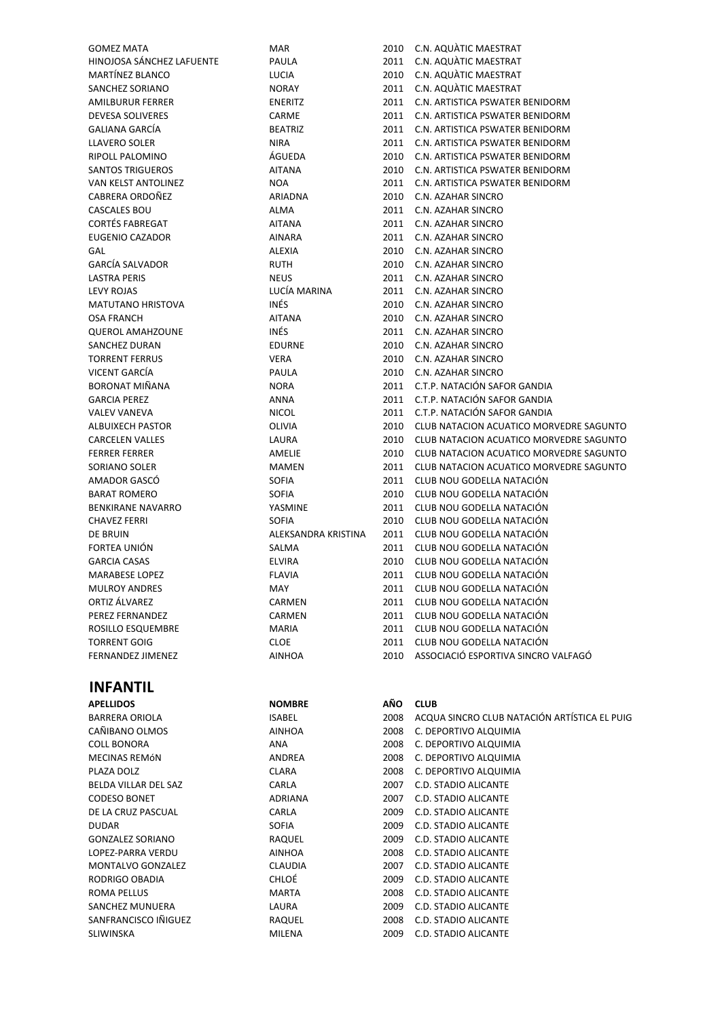| <b>GOMEZ MATA</b>         | MAR                 | 2010 | C.N. AQUATIC MAESTRAT                        |
|---------------------------|---------------------|------|----------------------------------------------|
| HINOJOSA SÁNCHEZ LAFUENTE | PAULA               | 2011 | C.N. AQUATIC MAESTRAT                        |
| MARTÍNEZ BLANCO           | LUCIA               | 2010 | C.N. AQUATIC MAESTRAT                        |
| <b>SANCHEZ SORIANO</b>    | <b>NORAY</b>        | 2011 | C.N. AQUATIC MAESTRAT                        |
| <b>AMILBURUR FERRER</b>   | <b>ENERITZ</b>      | 2011 | C.N. ARTISTICA PSWATER BENIDORM              |
| <b>DEVESA SOLIVERES</b>   | CARME               | 2011 | C.N. ARTISTICA PSWATER BENIDORM              |
| <b>GALIANA GARCÍA</b>     | <b>BEATRIZ</b>      | 2011 | C.N. ARTISTICA PSWATER BENIDORM              |
| <b>LLAVERO SOLER</b>      | <b>NIRA</b>         | 2011 | C.N. ARTISTICA PSWATER BENIDORM              |
| RIPOLL PALOMINO           | ÁGUEDA              | 2010 | C.N. ARTISTICA PSWATER BENIDORM              |
| <b>SANTOS TRIGUEROS</b>   | <b>AITANA</b>       | 2010 | C.N. ARTISTICA PSWATER BENIDORM              |
| VAN KELST ANTOLINEZ       | <b>NOA</b>          | 2011 | C.N. ARTISTICA PSWATER BENIDORM              |
| CABRERA ORDOÑEZ           | <b>ARIADNA</b>      | 2010 | C.N. AZAHAR SINCRO                           |
| CASCALES BOU              | ALMA                | 2011 | C.N. AZAHAR SINCRO                           |
| <b>CORTÉS FABREGAT</b>    | <b>AITANA</b>       | 2011 | C.N. AZAHAR SINCRO                           |
| <b>EUGENIO CAZADOR</b>    | <b>AINARA</b>       | 2011 | C.N. AZAHAR SINCRO                           |
| GAL                       | <b>ALEXIA</b>       | 2010 | C.N. AZAHAR SINCRO                           |
| <b>GARCÍA SALVADOR</b>    | <b>RUTH</b>         | 2010 | C.N. AZAHAR SINCRO                           |
| <b>LASTRA PERIS</b>       | <b>NEUS</b>         | 2011 | C.N. AZAHAR SINCRO                           |
| <b>LEVY ROJAS</b>         | LUCÍA MARINA        | 2011 | C.N. AZAHAR SINCRO                           |
| <b>MATUTANO HRISTOVA</b>  | INÉS                | 2010 | C.N. AZAHAR SINCRO                           |
| <b>OSA FRANCH</b>         | <b>AITANA</b>       | 2010 | C.N. AZAHAR SINCRO                           |
| <b>QUEROL AMAHZOUNE</b>   | INÉS                | 2011 | C.N. AZAHAR SINCRO                           |
| SANCHEZ DURAN             | <b>EDURNE</b>       | 2010 | C.N. AZAHAR SINCRO                           |
| <b>TORRENT FERRUS</b>     | <b>VERA</b>         | 2010 | C.N. AZAHAR SINCRO                           |
| VICENT GARCÍA             | PAULA               | 2010 | C.N. AZAHAR SINCRO                           |
| BORONAT MIÑANA            | <b>NORA</b>         | 2011 | C.T.P. NATACIÓN SAFOR GANDIA                 |
| <b>GARCIA PEREZ</b>       | ANNA                | 2011 | C.T.P. NATACIÓN SAFOR GANDIA                 |
| <b>VALEV VANEVA</b>       | <b>NICOL</b>        | 2011 | C.T.P. NATACIÓN SAFOR GANDIA                 |
| <b>ALBUIXECH PASTOR</b>   | OLIVIA              | 2010 | CLUB NATACION ACUATICO MORVEDRE SAGUNTO      |
| <b>CARCELEN VALLES</b>    | LAURA               | 2010 | CLUB NATACION ACUATICO MORVEDRE SAGUNTO      |
| <b>FERRER FERRER</b>      | AMELIE              | 2010 | CLUB NATACION ACUATICO MORVEDRE SAGUNTO      |
|                           |                     |      | CLUB NATACION ACUATICO MORVEDRE SAGUNTO      |
| SORIANO SOLER             | <b>MAMEN</b>        | 2011 |                                              |
| AMADOR GASCÓ              | <b>SOFIA</b>        | 2011 | CLUB NOU GODELLA NATACIÓN                    |
| <b>BARAT ROMERO</b>       | SOFIA               | 2010 | CLUB NOU GODELLA NATACIÓN                    |
| <b>BENKIRANE NAVARRO</b>  | YASMINE             | 2011 | CLUB NOU GODELLA NATACIÓN                    |
| <b>CHAVEZ FERRI</b>       | <b>SOFIA</b>        | 2010 | CLUB NOU GODELLA NATACIÓN                    |
| DE BRUIN                  | ALEKSANDRA KRISTINA | 2011 | CLUB NOU GODELLA NATACIÓN                    |
| FORTEA UNIÓN              | SALMA               | 2011 | CLUB NOU GODELLA NATACIÓN                    |
| <b>GARCIA CASAS</b>       | <b>ELVIRA</b>       | 2010 | CLUB NOU GODELLA NATACIÓN                    |
| <b>MARABESE LOPEZ</b>     | <b>FLAVIA</b>       | 2011 | CLUB NOU GODELLA NATACIÓN                    |
| <b>MULROY ANDRES</b>      | MAY                 | 2011 | CLUB NOU GODELLA NATACION                    |
| ORTIZ ÁLVAREZ             | CARMEN              | 2011 | CLUB NOU GODELLA NATACIÓN                    |
| PEREZ FERNANDEZ           | CARMEN              | 2011 | CLUB NOU GODELLA NATACIÓN                    |
| ROSILLO ESQUEMBRE         | <b>MARIA</b>        | 2011 | CLUB NOU GODELLA NATACIÓN                    |
| <b>TORRENT GOIG</b>       | CLOE                | 2011 | CLUB NOU GODELLA NATACIÓN                    |
| FERNANDEZ JIMENEZ         | AINHOA              | 2010 | ASSOCIACIÓ ESPORTIVA SINCRO VALFAGÓ          |
| <b>INFANTIL</b>           |                     |      |                                              |
| <b>APELLIDOS</b>          | <b>NOMBRE</b>       | AÑO  | <b>CLUB</b>                                  |
| <b>BARRERA ORIOLA</b>     | <b>ISABEL</b>       | 2008 | ACQUA SINCRO CLUB NATACIÓN ARTÍSTICA EL PUIG |
| CAÑIBANO OLMOS            | <b>AINHOA</b>       | 2008 | C. DEPORTIVO ALQUIMIA                        |

| <b>BARRERA ORIOLA</b>    | ISABEL         | 2008 | ACQUA SINCRO CLUB NATACION ARTISTICA EL PUIG |
|--------------------------|----------------|------|----------------------------------------------|
| CAÑIBANO OLMOS           | <b>AINHOA</b>  | 2008 | C. DEPORTIVO ALQUIMIA                        |
| <b>COLL BONORA</b>       | ANA            | 2008 | C. DEPORTIVO ALQUIMIA                        |
| <b>MECINAS REMÓN</b>     | ANDREA         | 2008 | C. DEPORTIVO ALQUIMIA                        |
| PLAZA DOLZ               | <b>CLARA</b>   | 2008 | C. DEPORTIVO ALQUIMIA                        |
| BELDA VILLAR DEL SAZ     | CARLA          | 2007 | C.D. STADIO ALICANTE                         |
| <b>CODESO BONET</b>      | ADRIANA        | 2007 | C.D. STADIO ALICANTE                         |
| DE LA CRUZ PASCUAL       | CARLA          | 2009 | C.D. STADIO ALICANTE                         |
| <b>DUDAR</b>             | <b>SOFIA</b>   | 2009 | C.D. STADIO ALICANTE                         |
| <b>GONZALEZ SORIANO</b>  | RAQUEL         | 2009 | C.D. STADIO ALICANTE                         |
| LOPEZ-PARRA VERDU        | <b>AINHOA</b>  | 2008 | C.D. STADIO ALICANTE                         |
| <b>MONTALVO GONZALEZ</b> | <b>CLAUDIA</b> | 2007 | C.D. STADIO ALICANTE                         |
| RODRIGO OBADIA           | CHLOÉ          | 2009 | C.D. STADIO ALICANTE                         |
| ROMA PELLUS              | <b>MARTA</b>   | 2008 | C.D. STADIO ALICANTE                         |
| SANCHEZ MUNUERA          | LAURA          | 2009 | C.D. STADIO ALICANTE                         |
| SANFRANCISCO IÑIGUEZ     | RAQUEL         | 2008 | C.D. STADIO ALICANTE                         |
| <b>SLIWINSKA</b>         | <b>MILENA</b>  | 2009 | C.D. STADIO ALICANTE                         |